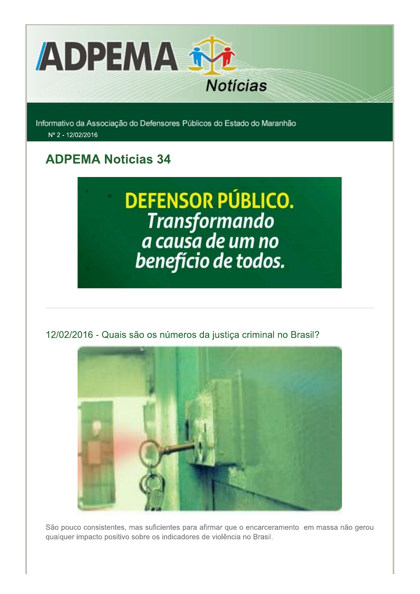

Informativo da Associação do Defensores Públicos do Estado do Maranhão Nº 2 - 12/02/2016

## **ADPEMA Noticias 34**

## **DEFENSOR PÚBLICO.** Transformando<br>a causa de um no benefício de todos.

12/02/2016 - Quais são os números da justiça criminal no Brasil?



São pouco consistentes, mas suficientes para afirmar que o encarceramento em massa não gerou qualquer impacto positivo sobre os indicadores de violência no Brasil.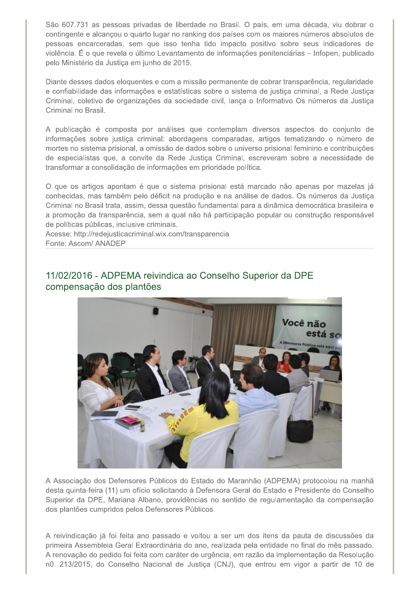São 607.731 as pessoas privadas de liberdade no Brasil. O país, em uma década, viu dobrar o contingente e alcançou o quarto lugar no ranking dos países com os maiores números absolutos de pessoas encarceradas, sem que isso tenha tido impacto positivo sobre seus indicadores de violência. É o que revela o último Levantamento de informações penitenciárias - Infopen, publicado pelo Ministério da Justiça em junho de 2015.

Diante desses dados eloquentes e com a missão permanente de cobrar transparência, regularidade e confiabilidade das informações e estatísticas sobre o sistema de justiça criminal, a Rede Justiça Criminal, coletivo de organizações da sociedade civil, lança o Informativo Os números da Justiça Criminal no Brasil.

A publicação é composta por análises que contemplam diversos aspectos do conjunto de informações sobre justiça criminal: abordagens comparadas, artigos tematizando o número de mortes no sistema prisional, a omissão de dados sobre o universo prisional feminino e contribuições de especialistas que, a convite da Rede Justiça Criminal, escreveram sobre a necessidade de transformar a consolidação de informações em prioridade política.

O que os artigos apontam é que o sistema prisional está marcado não apenas por mazelas já conhecidas, mas também pelo déficit na produção e na análise de dados. Os números da Justiça Criminal no Brasil trata, assim, dessa questão fundamental para a dinâmica democrática brasileira e a promoção da transparência, sem a qual não há participação popular ou construção responsável de políticas públicas, inclusive criminais.

Acesse: http://redejusticacriminal.wix.com/transparencia Fonte: Ascom/ ANADEP



11/02/2016 - ADPEMA reivindica ao Conselho Superior da DPE compensação dos plantões

A Associação dos Defensores Públicos do Estado do Maranhão (ADPEMA) protocolou na manhã desta quinta-feira (11) um ofício solicitando à Defensora Geral do Estado e Presidente do Conselho Superior da DPE, Mariana Albano, providências no sentido de regulamentação da compensação dos plantões cumpridos pelos Defensores Públicos.

A reivindicação já foi feita ano passado e voltou a ser um dos itens da pauta de discussões da primeira Assembleia Geral Extraordinária do ano, realizada pela entidade no final do mês passado. A renovação do pedido foi feita com caráter de urgência, em razão da implementação da Resolução n0. 213/2015, do Conselho Nacional de Justiça (CNJ), que entrou em vigor a partir de 10 de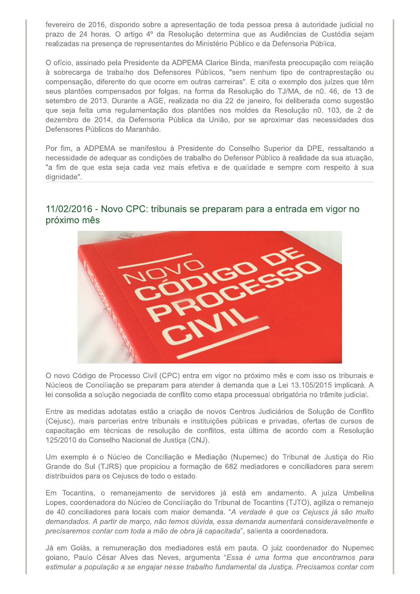fevereiro de 2016, dispondo sobre a apresentação de toda pessoa presa à autoridade judicial no prazo de 24 horas. O artigo 4º da Resolução determina que as Audiências de Custódia sejam realizadas na presenca de representantes do Ministério Público e da Defensoria Pública.

O ofício, assinado pela Presidente da ADPEMA Clarice Binda, manifesta preocupação com relação à sobrecarga de trabalho dos Defensores Públicos, "sem nenhum tipo de contraprestação ou compensação, diferente do que ocorre em outras carreiras". E cita o exemplo dos juízes que têm seus plantões compensados por folgas, na forma da Resolução do TJ/MA, de n0. 46, de 13 de setembro de 2013. Durante a AGE, realizada no dia 22 de janeiro, foi deliberada como sugestão que seja feita uma regulamentação dos plantões nos moldes da Resolução n0. 103, de 2 de dezembro de 2014, da Defensoria Pública da União, por se aproximar das necessidades dos Defensores Públicos do Maranhão.

Por fim, a ADPEMA se manifestou à Presidente do Conselho Superior da DPE, ressaltando a necessidade de adequar as condições de trabalho do Defensor Público à realidade da sua atuação, "a fim de que esta seja cada vez mais efetiva e de qualidade e sempre com respeito à sua dignidade".

## 11/02/2016 - Novo CPC: tribunais se preparam para a entrada em vigor no próximo mês



O novo Código de Processo Civil (CPC) entra em vigor no próximo mês e com isso os tribunais e Núcleos de Conciliação se preparam para atender à demanda que a Lei 13.105/2015 implicará. A lei consolida a solução negociada de conflito como etapa processual obrigatória no trâmite judicial.

Entre as medidas adotatas estão a criação de novos Centros Judiciários de Solução de Conflito (Cejusc), mais parcerias entre tribunais e instituições públicas e privadas, ofertas de cursos de capacitação em técnicas de resolução de conflitos, esta última de acordo com a Resolução 125/2010 do Conselho Nacional de Justiça (CNJ).

Um exemplo é o Núcleo de Conciliação e Mediação (Nupemec) do Tribunal de Justica do Rio Grande do Sul (TJRS) que propiciou a formação de 682 mediadores e conciliadores para serem distribuídos para os Cejuscs de todo o estado.

Em Tocantins, o remanejamento de servidores já está em andamento. A juíza Umbelina Lopes, coordenadora do Núcleo de Conciliação do Tribunal de Tocantins (TJTO), agiliza o remanejo de 40 conciliadores para locais com maior demanda. "A verdade é que os Cejuscs já são muito demandados. A partir de março, não temos dúvida, essa demanda aumentará consideravelmente e precisaremos contar com toda a mão de obra já capacitada", salienta a coordenadora.

Já em Goiás, a remuneração dos mediadores está em pauta. O juiz coordenador do Nupemec goiano, Paulo César Alves das Neves, argumenta "Essa é uma forma que encontramos para estimular a população a se engajar nesse trabalho fundamental da Justiça. Precisamos contar com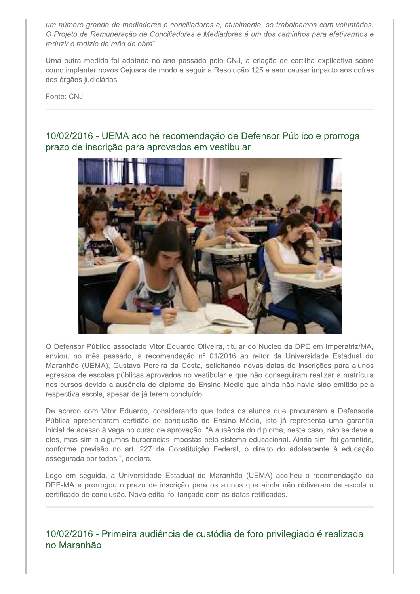um número grande de mediadores e conciliadores e, atualmente, só trabalhamos com voluntários. O Projeto de Remuneração de Conciliadores e Mediadores é um dos caminhos para efetivarmos e reduzir o rodízio de mão de obra".

Uma outra medida foi adotada no ano passado pelo CNJ, a criação de cartilha explicativa sobre como implantar novos Cejuscs de modo a seguir a Resolução 125 e sem causar impacto aos cofres dos órgãos judiciários.

Fonte: CNJ

## 10/02/2016 - UEMA acolhe recomendação de Defensor Público e prorroga prazo de inscrição para aprovados em vestibular



O Defensor Público associado Vitor Eduardo Oliveira, titular do Núcleo da DPE em Imperatriz/MA, enviou, no mês passado, a recomendação nº 01/2016 ao reitor da Universidade Estadual do Maranhão (UEMA), Gustavo Pereira da Costa, solicitando novas datas de inscrições para alunos egressos de escolas públicas aprovados no vestibular e que não conseguiram realizar a matrícula nos cursos devido a ausência de diploma do Ensino Médio que ainda não havia sido emitido pela respectiva escola, apesar de já terem concluído.

De acordo com Vitor Eduardo, considerando que todos os alunos que procuraram a Defensoria Pública apresentaram certidão de conclusão do Ensino Médio, isto já representa uma garantia inicial de acesso à vaga no curso de aprovação. "A ausência do diploma, neste caso, não se deve a eles, mas sim a algumas burocracias impostas pelo sistema educacional. Ainda sim, foi garantido, conforme previsão no art. 227 da Constituição Federal, o direito do adolescente à educação assegurada por todos.", declara.

Logo em seguida, a Universidade Estadual do Maranhão (UEMA) acolheu a recomendação da DPE-MA e prorrogou o prazo de inscrição para os alunos que ainda não obtiveram da escola o certificado de conclusão. Novo edital foi lançado com as datas retificadas.

10/02/2016 - Primeira audiência de custódia de foro privilegiado é realizada no Maranhão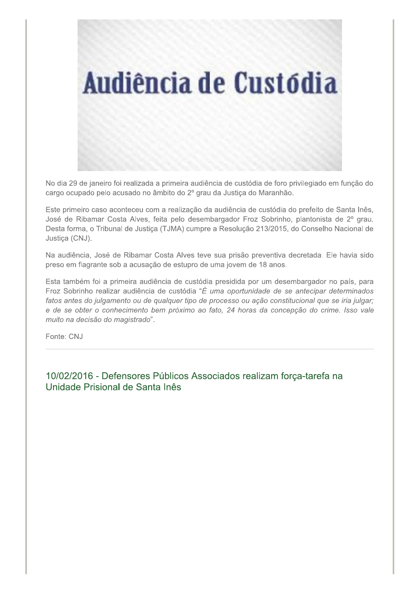

No dia 29 de janeiro foi realizada a primeira audiência de custódia de foro privilegiado em função do cargo ocupado pelo acusado no âmbito do 2º grau da Justiça do Maranhão.

Este primeiro caso aconteceu com a realização da audiência de custódia do prefeito de Santa Inês, José de Ribamar Costa Alves, feita pelo desembargador Froz Sobrinho, plantonista de 2º grau. Desta forma, o Tribunal de Justiça (TJMA) cumpre a Resolução 213/2015, do Conselho Nacional de Justiça (CNJ).

Na audiência, José de Ribamar Costa Alves teve sua prisão preventiva decretada. Ele havia sido preso em flagrante sob a acusação de estupro de uma jovem de 18 anos.

Esta também foi a primeira audiência de custódia presidida por um desembargador no país, para Froz Sobrinho realizar audiência de custódia "É uma oportunidade de se antecipar determinados fatos antes do julgamento ou de qualquer tipo de processo ou ação constitucional que se iria julgar; e de se obter o conhecimento bem próximo ao fato, 24 horas da concepção do crime. Isso vale muito na decisão do magistrado".

Fonte: CNJ

10/02/2016 - Defensores Públicos Associados realizam força-tarefa na Unidade Prisional de Santa Inês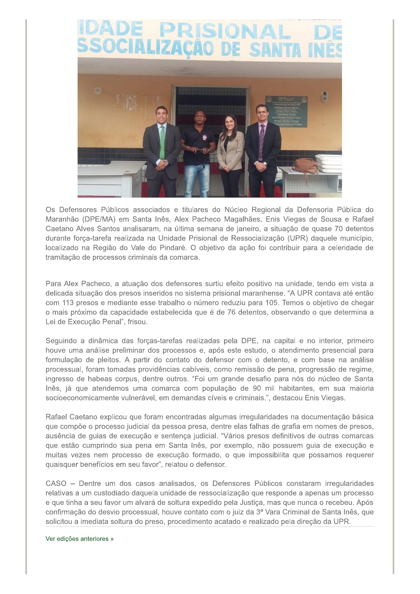

Os Defensores Públicos associados e titulares do Núcleo Regional da Defensoria Pública do Maranhão (DPE/MA) em Santa Inês, Alex Pacheco Magalhães, Enis Viegas de Sousa e Rafael Caetano Alves Santos analisaram, na última semana de janeiro, a situação de quase 70 detentos durante força-tarefa realizada na Unidade Prisional de Ressocialização (UPR) daquele município, localizado na Região do Vale do Pindaré. O objetivo da ação foi contribuir para a celeridade de tramitação de processos criminais da comarca.

Para Alex Pacheco, a atuação dos defensores surtiu efeito positivo na unidade, tendo em vista a delicada situação dos presos inseridos no sistema prisional maranhense. "A UPR contava até então com 113 presos e mediante esse trabalho o número reduziu para 105. Temos o objetivo de chegar o mais próximo da capacidade estabelecida que é de 76 detentos, observando o que determina a Lei de Execução Penal", frisou.

Seguindo a dinâmica das forças-tarefas realizadas pela DPE, na capital e no interior, primeiro houve uma análise preliminar dos processos e, após este estudo, o atendimento presencial para formulação de pleitos. A partir do contato do defensor com o detento, e com base na análise processual, foram tomadas providências cabíveis, como remissão de pena, progressão de regime, ingresso de habeas corpus, dentre outros. "Foi um grande desafio para nós do núcleo de Santa Inês, já que atendemos uma comarca com população de 90 mil habitantes, em sua maioria socioeconomicamente vulnerável, em demandas cíveis e criminais.", destacou Enis Viegas.

Rafael Caetano explicou que foram encontradas algumas irregularidades na documentação básica que compõe o processo judicial da pessoa presa, dentre elas falhas de grafia em nomes de presos, ausência de guias de execução e sentença judicial. "Vários presos definitivos de outras comarcas que estão cumprindo sua pena em Santa Inês, por exemplo, não possuem quia de execução e muitas vezes nem processo de execução formado, o que impossibilita que possamos requerer quaisquer benefícios em seu favor", relatou o defensor.

CASO - Dentre um dos casos analisados, os Defensores Públicos constaram irregularidades relativas a um custodiado daquela unidade de ressocialização que responde a apenas um processo e que tinha a seu favor um alvará de soltura expedido pela Justiça, mas que nunca o recebeu. Após confirmação do desvio processual, houve contato com o juiz da 3ª Vara Criminal de Santa Inês, que solicitou a imediata soltura do preso, procedimento acatado e realizado pela direção da UPR.

Ver edições anteriores »